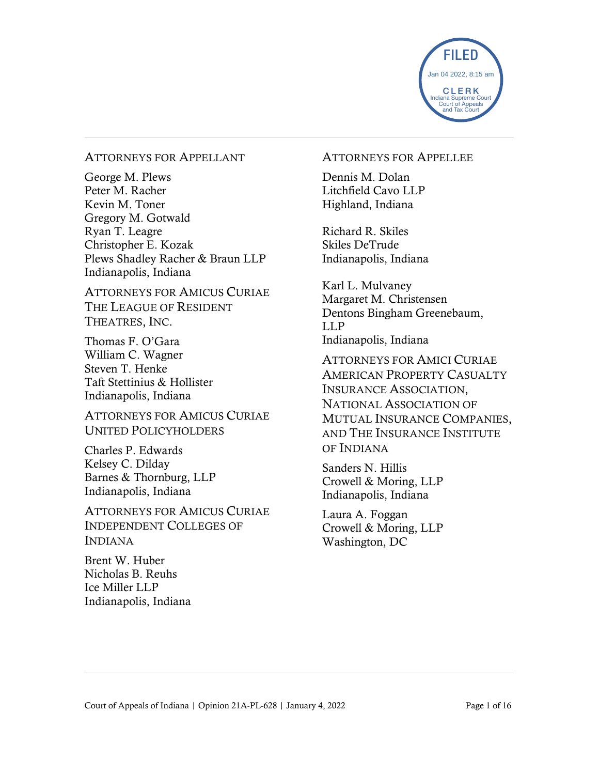

#### ATTORNEYS FOR APPELLANT

George M. Plews Peter M. Racher Kevin M. Toner Gregory M. Gotwald Ryan T. Leagre Christopher E. Kozak Plews Shadley Racher & Braun LLP Indianapolis, Indiana

ATTORNEYS FOR AMICUS CURIAE THE LEAGUE OF RESIDENT THEATRES, INC.

Thomas F. O'Gara William C. Wagner Steven T. Henke Taft Stettinius & Hollister Indianapolis, Indiana

ATTORNEYS FOR AMICUS CURIAE UNITED POLICYHOLDERS

Charles P. Edwards Kelsey C. Dilday Barnes & Thornburg, LLP Indianapolis, Indiana

ATTORNEYS FOR AMICUS CURIAE INDEPENDENT COLLEGES OF INDIANA

Brent W. Huber Nicholas B. Reuhs Ice Miller LLP Indianapolis, Indiana

#### ATTORNEYS FOR APPELLEE

Dennis M. Dolan Litchfield Cavo LLP Highland, Indiana

Richard R. Skiles Skiles DeTrude Indianapolis, Indiana

Karl L. Mulvaney Margaret M. Christensen Dentons Bingham Greenebaum, LLP Indianapolis, Indiana

ATTORNEYS FOR AMICI CURIAE AMERICAN PROPERTY CASUALTY INSURANCE ASSOCIATION, NATIONAL ASSOCIATION OF MUTUAL INSURANCE COMPANIES, AND THE INSURANCE INSTITUTE OF INDIANA

Sanders N. Hillis Crowell & Moring, LLP Indianapolis, Indiana

Laura A. Foggan Crowell & Moring, LLP Washington, DC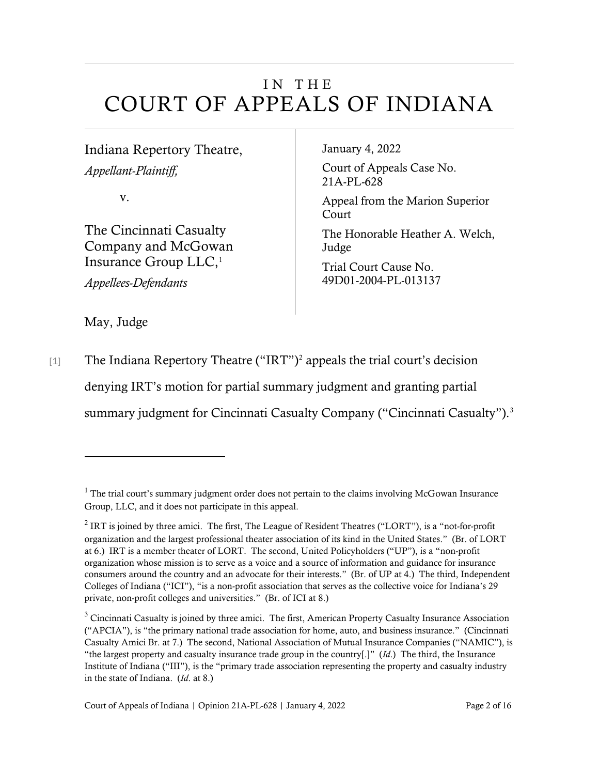# IN THE COURT OF APPEALS OF INDIANA

Indiana Repertory Theatre, *Appellant-Plaintiff,*

v.

The Cincinnati Casualty Company and McGowan Insurance Group LLC, [1](#page-1-0) *Appellees-Defendants*

January 4, 2022

Court of Appeals Case No. 21A-PL-628

Appeal from the Marion Superior Court

The Honorable Heather A. Welch, Judge Trial Court Cause No. 49D01-2004-PL-013137

May, Judge

[1] The Indiana Repertory Theatre ("IRT")<sup>[2](#page-1-1)</sup> appeals the trial court's decision denying IRT's motion for partial summary judgment and granting partial summary judgment for Cincinnati Casualty Company ("Cincinnati Casualty"). [3](#page-1-2)

<span id="page-1-0"></span> $1$  The trial court's summary judgment order does not pertain to the claims involving McGowan Insurance Group, LLC, and it does not participate in this appeal.

<span id="page-1-1"></span> $2$  IRT is joined by three amici. The first, The League of Resident Theatres ("LORT"), is a "not-for-profit organization and the largest professional theater association of its kind in the United States." (Br. of LORT at 6.) IRT is a member theater of LORT. The second, United Policyholders ("UP"), is a "non-profit organization whose mission is to serve as a voice and a source of information and guidance for insurance consumers around the country and an advocate for their interests." (Br. of UP at 4.) The third, Independent Colleges of Indiana ("ICI"), "is a non-profit association that serves as the collective voice for Indiana's 29 private, non-profit colleges and universities." (Br. of ICI at 8.)

<span id="page-1-2"></span><sup>&</sup>lt;sup>3</sup> Cincinnati Casualty is joined by three amici. The first, American Property Casualty Insurance Association ("APCIA"), is "the primary national trade association for home, auto, and business insurance." (Cincinnati Casualty Amici Br. at 7.) The second, National Association of Mutual Insurance Companies ("NAMIC"), is "the largest property and casualty insurance trade group in the country[.]" (*Id*.) The third, the Insurance Institute of Indiana ("III"), is the "primary trade association representing the property and casualty industry in the state of Indiana. (*Id*. at 8.)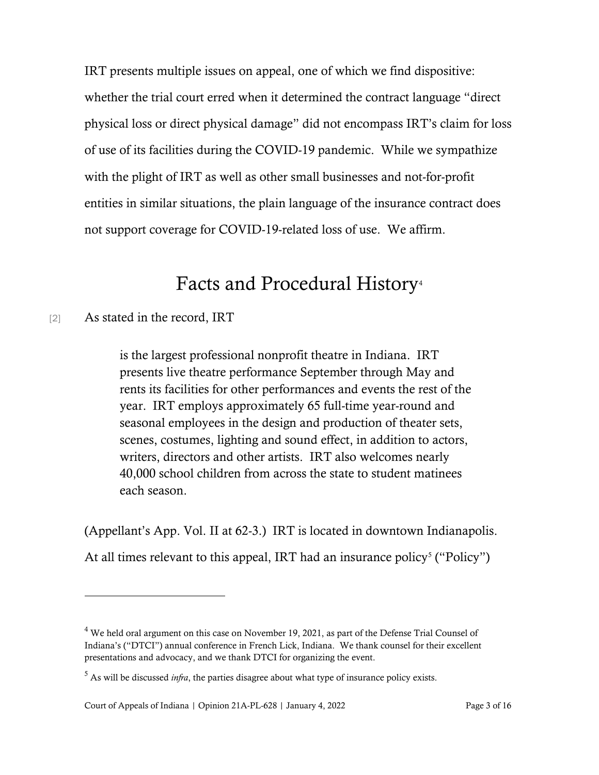IRT presents multiple issues on appeal, one of which we find dispositive: whether the trial court erred when it determined the contract language "direct physical loss or direct physical damage" did not encompass IRT's claim for loss of use of its facilities during the COVID-19 pandemic. While we sympathize with the plight of IRT as well as other small businesses and not-for-profit entities in similar situations, the plain language of the insurance contract does not support coverage for COVID-19-related loss of use. We affirm.

# Facts and Procedural History<sup>[4](#page-2-0)</sup>

[2] As stated in the record, IRT

is the largest professional nonprofit theatre in Indiana. IRT presents live theatre performance September through May and rents its facilities for other performances and events the rest of the year. IRT employs approximately 65 full-time year-round and seasonal employees in the design and production of theater sets, scenes, costumes, lighting and sound effect, in addition to actors, writers, directors and other artists. IRT also welcomes nearly 40,000 school children from across the state to student matinees each season.

(Appellant's App. Vol. II at 62-3.) IRT is located in downtown Indianapolis. At all times relevant to this appeal, IRT had an insurance policy<sup>[5](#page-2-1)</sup> ("Policy")

<span id="page-2-0"></span><sup>&</sup>lt;sup>4</sup> We held oral argument on this case on November 19, 2021, as part of the Defense Trial Counsel of Indiana's ("DTCI") annual conference in French Lick, Indiana. We thank counsel for their excellent presentations and advocacy, and we thank DTCI for organizing the event.

<span id="page-2-1"></span><sup>5</sup> As will be discussed *infra*, the parties disagree about what type of insurance policy exists.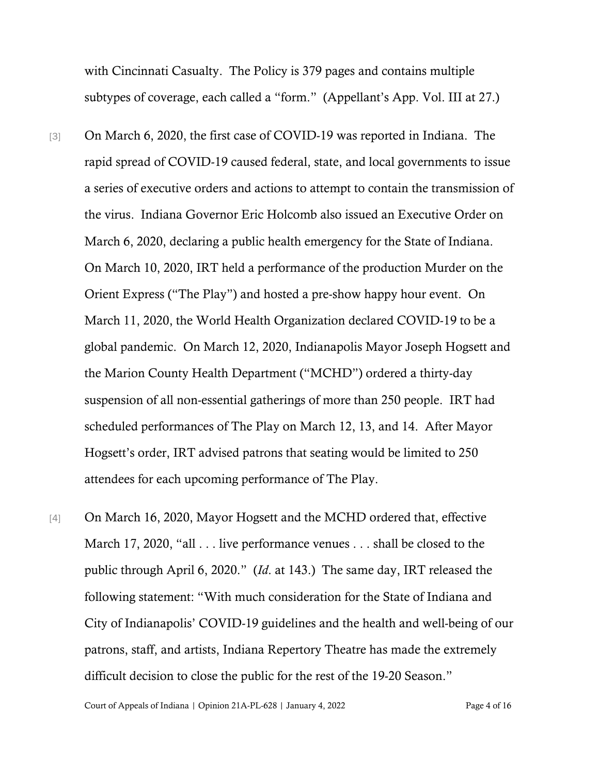with Cincinnati Casualty. The Policy is 379 pages and contains multiple subtypes of coverage, each called a "form." (Appellant's App. Vol. III at 27.)

- [3] On March 6, 2020, the first case of COVID-19 was reported in Indiana. The rapid spread of COVID-19 caused federal, state, and local governments to issue a series of executive orders and actions to attempt to contain the transmission of the virus. Indiana Governor Eric Holcomb also issued an Executive Order on March 6, 2020, declaring a public health emergency for the State of Indiana. On March 10, 2020, IRT held a performance of the production Murder on the Orient Express ("The Play") and hosted a pre-show happy hour event. On March 11, 2020, the World Health Organization declared COVID-19 to be a global pandemic. On March 12, 2020, Indianapolis Mayor Joseph Hogsett and the Marion County Health Department ("MCHD") ordered a thirty-day suspension of all non-essential gatherings of more than 250 people. IRT had scheduled performances of The Play on March 12, 13, and 14. After Mayor Hogsett's order, IRT advised patrons that seating would be limited to 250 attendees for each upcoming performance of The Play.
- [4] On March 16, 2020, Mayor Hogsett and the MCHD ordered that, effective March 17, 2020, "all . . . live performance venues . . . shall be closed to the public through April 6, 2020." (*Id*. at 143.) The same day, IRT released the following statement: "With much consideration for the State of Indiana and City of Indianapolis' COVID-19 guidelines and the health and well-being of our patrons, staff, and artists, Indiana Repertory Theatre has made the extremely difficult decision to close the public for the rest of the 19-20 Season."

Court of Appeals of Indiana | Opinion 21A-PL-628 | January 4, 2022 Page 4 of 16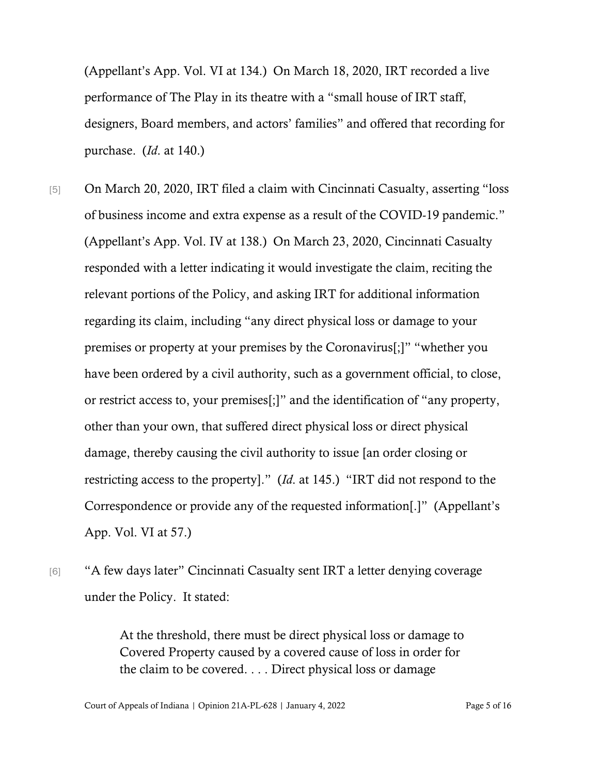(Appellant's App. Vol. VI at 134.) On March 18, 2020, IRT recorded a live performance of The Play in its theatre with a "small house of IRT staff, designers, Board members, and actors' families" and offered that recording for purchase. (*Id*. at 140.)

- [5] On March 20, 2020, IRT filed a claim with Cincinnati Casualty, asserting "loss of business income and extra expense as a result of the COVID-19 pandemic." (Appellant's App. Vol. IV at 138.) On March 23, 2020, Cincinnati Casualty responded with a letter indicating it would investigate the claim, reciting the relevant portions of the Policy, and asking IRT for additional information regarding its claim, including "any direct physical loss or damage to your premises or property at your premises by the Coronavirus[;]" "whether you have been ordered by a civil authority, such as a government official, to close, or restrict access to, your premises[;]" and the identification of "any property, other than your own, that suffered direct physical loss or direct physical damage, thereby causing the civil authority to issue [an order closing or restricting access to the property]." (*Id*. at 145.) "IRT did not respond to the Correspondence or provide any of the requested information[.]" (Appellant's App. Vol. VI at 57.)
- [6] "A few days later" Cincinnati Casualty sent IRT a letter denying coverage under the Policy. It stated:

At the threshold, there must be direct physical loss or damage to Covered Property caused by a covered cause of loss in order for the claim to be covered. . . . Direct physical loss or damage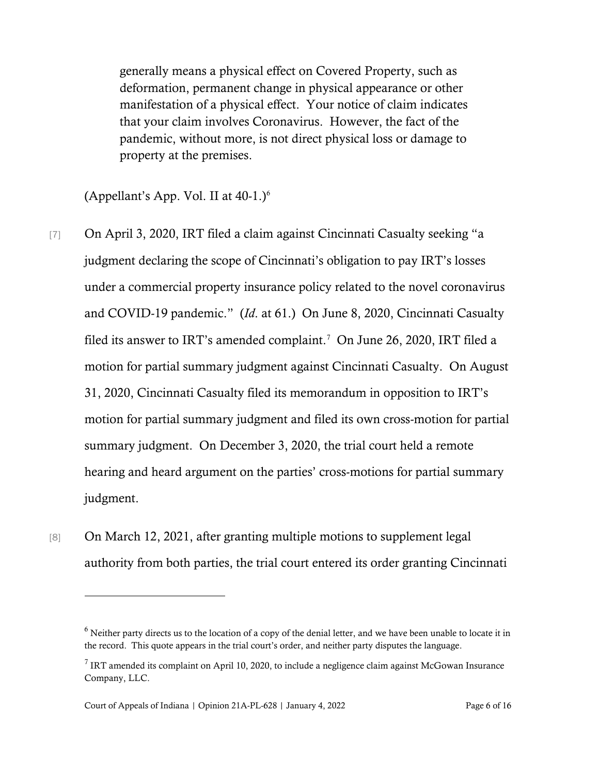generally means a physical effect on Covered Property, such as deformation, permanent change in physical appearance or other manifestation of a physical effect. Your notice of claim indicates that your claim involves Coronavirus. However, the fact of the pandemic, without more, is not direct physical loss or damage to property at the premises.

(Appellant's App. Vol. II at  $40-1.$ )<sup>[6](#page-5-0)</sup>

- [7] On April 3, 2020, IRT filed a claim against Cincinnati Casualty seeking "a judgment declaring the scope of Cincinnati's obligation to pay IRT's losses under a commercial property insurance policy related to the novel coronavirus and COVID-19 pandemic." (*Id*. at 61.) On June 8, 2020, Cincinnati Casualty filed its answer to IRT's amended complaint.<sup>[7](#page-5-1)</sup> On June 26, 2020, IRT filed a motion for partial summary judgment against Cincinnati Casualty. On August 31, 2020, Cincinnati Casualty filed its memorandum in opposition to IRT's motion for partial summary judgment and filed its own cross-motion for partial summary judgment. On December 3, 2020, the trial court held a remote hearing and heard argument on the parties' cross-motions for partial summary judgment.
- [8] On March 12, 2021, after granting multiple motions to supplement legal authority from both parties, the trial court entered its order granting Cincinnati

<span id="page-5-0"></span> $<sup>6</sup>$  Neither party directs us to the location of a copy of the denial letter, and we have been unable to locate it in</sup> the record. This quote appears in the trial court's order, and neither party disputes the language.

<span id="page-5-1"></span> $<sup>7</sup> IRT$  amended its complaint on April 10, 2020, to include a negligence claim against McGowan Insurance</sup> Company, LLC.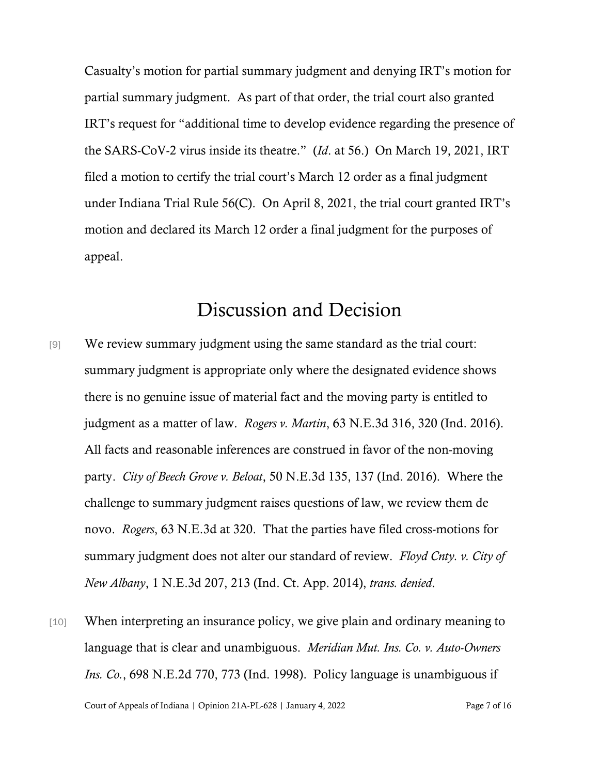Casualty's motion for partial summary judgment and denying IRT's motion for partial summary judgment. As part of that order, the trial court also granted IRT's request for "additional time to develop evidence regarding the presence of the SARS-CoV-2 virus inside its theatre." (*Id*. at 56.) On March 19, 2021, IRT filed a motion to certify the trial court's March 12 order as a final judgment under Indiana Trial Rule 56(C). On April 8, 2021, the trial court granted IRT's motion and declared its March 12 order a final judgment for the purposes of appeal.

### Discussion and Decision

- [9] We review summary judgment using the same standard as the trial court: summary judgment is appropriate only where the designated evidence shows there is no genuine issue of material fact and the moving party is entitled to judgment as a matter of law. *Rogers v. Martin*, 63 N.E.3d 316, 320 (Ind. 2016). All facts and reasonable inferences are construed in favor of the non-moving party. *City of Beech Grove v. Beloat*, 50 N.E.3d 135, 137 (Ind. 2016). Where the challenge to summary judgment raises questions of law, we review them de novo. *Rogers*, 63 N.E.3d at 320. That the parties have filed cross-motions for summary judgment does not alter our standard of review. *Floyd Cnty. v. City of New Albany*, 1 N.E.3d 207, 213 (Ind. Ct. App. 2014), *trans. denied*.
- [10] When interpreting an insurance policy, we give plain and ordinary meaning to language that is clear and unambiguous. *Meridian Mut. Ins. Co. v. Auto-Owners Ins. Co.*, 698 N.E.2d 770, 773 (Ind. 1998). Policy language is unambiguous if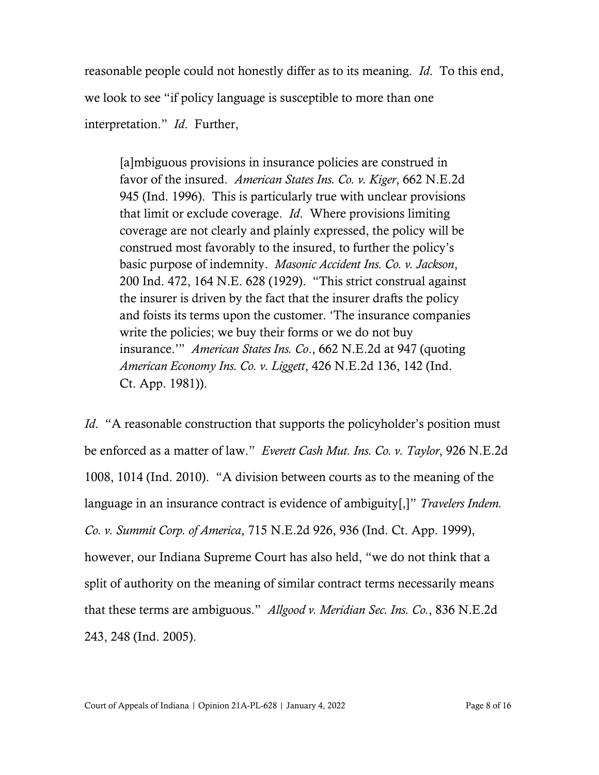reasonable people could not honestly differ as to its meaning. *Id*. To this end, we look to see "if policy language is susceptible to more than one interpretation." *Id*. Further,

[a]mbiguous provisions in insurance policies are construed in favor of the insured. *American States Ins. Co. v. Kiger*, 662 N.E.2d 945 (Ind. 1996). This is particularly true with unclear provisions that limit or exclude coverage. *Id*. Where provisions limiting coverage are not clearly and plainly expressed, the policy will be construed most favorably to the insured, to further the policy's basic purpose of indemnity. *Masonic Accident Ins. Co. v. Jackson*, 200 Ind. 472, 164 N.E. 628 (1929). "This strict construal against the insurer is driven by the fact that the insurer drafts the policy and foists its terms upon the customer. 'The insurance companies write the policies; we buy their forms or we do not buy insurance.'" *American States Ins. Co*., 662 N.E.2d at 947 (quoting *American Economy Ins. Co. v. Liggett*, 426 N.E.2d 136, 142 (Ind. Ct. App. 1981)).

*Id.* "A reasonable construction that supports the policyholder's position must be enforced as a matter of law." *Everett Cash Mut. Ins. Co. v. Taylor*, 926 N.E.2d 1008, 1014 (Ind. 2010). "A division between courts as to the meaning of the language in an insurance contract is evidence of ambiguity[,]" *Travelers Indem. Co. v. Summit Corp. of America*, 715 N.E.2d 926, 936 (Ind. Ct. App. 1999), however, our Indiana Supreme Court has also held, "we do not think that a split of authority on the meaning of similar contract terms necessarily means that these terms are ambiguous." *Allgood v. Meridian Sec. Ins. Co.*, 836 N.E.2d 243, 248 (Ind. 2005).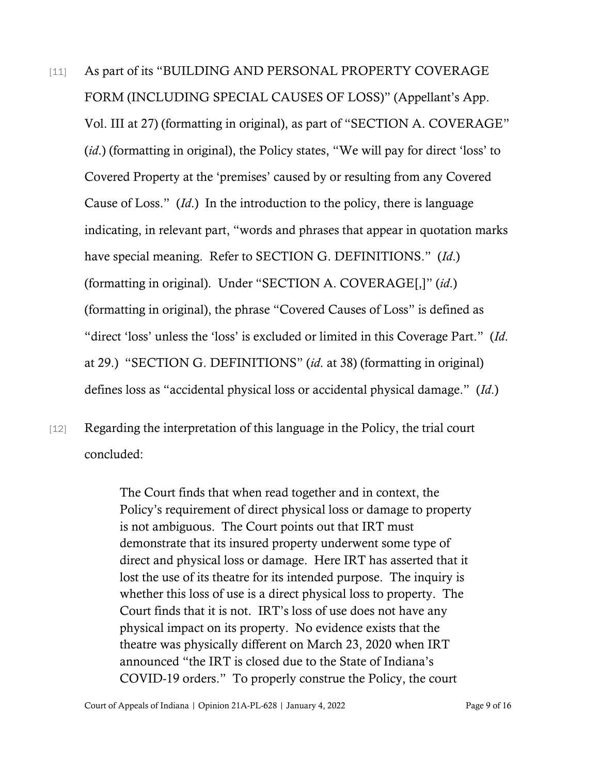- [11] As part of its "BUILDING AND PERSONAL PROPERTY COVERAGE FORM (INCLUDING SPECIAL CAUSES OF LOSS)" (Appellant's App. Vol. III at 27) (formatting in original), as part of "SECTION A. COVERAGE" (*id*.) (formatting in original), the Policy states, "We will pay for direct 'loss' to Covered Property at the 'premises' caused by or resulting from any Covered Cause of Loss." (*Id*.) In the introduction to the policy, there is language indicating, in relevant part, "words and phrases that appear in quotation marks have special meaning. Refer to SECTION G. DEFINITIONS." (*Id*.) (formatting in original). Under "SECTION A. COVERAGE[,]" (*id*.) (formatting in original), the phrase "Covered Causes of Loss" is defined as "direct 'loss' unless the 'loss' is excluded or limited in this Coverage Part." (*Id*. at 29.) "SECTION G. DEFINITIONS" (*id*. at 38) (formatting in original) defines loss as "accidental physical loss or accidental physical damage." (*Id*.)
- [12] Regarding the interpretation of this language in the Policy, the trial court concluded:

The Court finds that when read together and in context, the Policy's requirement of direct physical loss or damage to property is not ambiguous. The Court points out that IRT must demonstrate that its insured property underwent some type of direct and physical loss or damage. Here IRT has asserted that it lost the use of its theatre for its intended purpose. The inquiry is whether this loss of use is a direct physical loss to property. The Court finds that it is not. IRT's loss of use does not have any physical impact on its property. No evidence exists that the theatre was physically different on March 23, 2020 when IRT announced "the IRT is closed due to the State of Indiana's COVID-19 orders." To properly construe the Policy, the court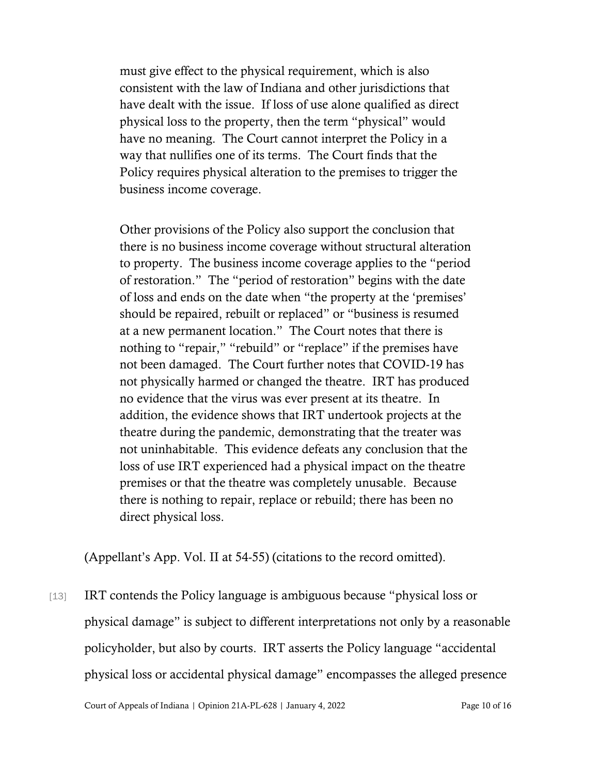must give effect to the physical requirement, which is also consistent with the law of Indiana and other jurisdictions that have dealt with the issue. If loss of use alone qualified as direct physical loss to the property, then the term "physical" would have no meaning. The Court cannot interpret the Policy in a way that nullifies one of its terms. The Court finds that the Policy requires physical alteration to the premises to trigger the business income coverage.

Other provisions of the Policy also support the conclusion that there is no business income coverage without structural alteration to property. The business income coverage applies to the "period of restoration." The "period of restoration" begins with the date of loss and ends on the date when "the property at the 'premises' should be repaired, rebuilt or replaced" or "business is resumed at a new permanent location." The Court notes that there is nothing to "repair," "rebuild" or "replace" if the premises have not been damaged. The Court further notes that COVID-19 has not physically harmed or changed the theatre. IRT has produced no evidence that the virus was ever present at its theatre. In addition, the evidence shows that IRT undertook projects at the theatre during the pandemic, demonstrating that the treater was not uninhabitable. This evidence defeats any conclusion that the loss of use IRT experienced had a physical impact on the theatre premises or that the theatre was completely unusable. Because there is nothing to repair, replace or rebuild; there has been no direct physical loss.

(Appellant's App. Vol. II at 54-55) (citations to the record omitted).

[13] IRT contends the Policy language is ambiguous because "physical loss or physical damage" is subject to different interpretations not only by a reasonable policyholder, but also by courts. IRT asserts the Policy language "accidental physical loss or accidental physical damage" encompasses the alleged presence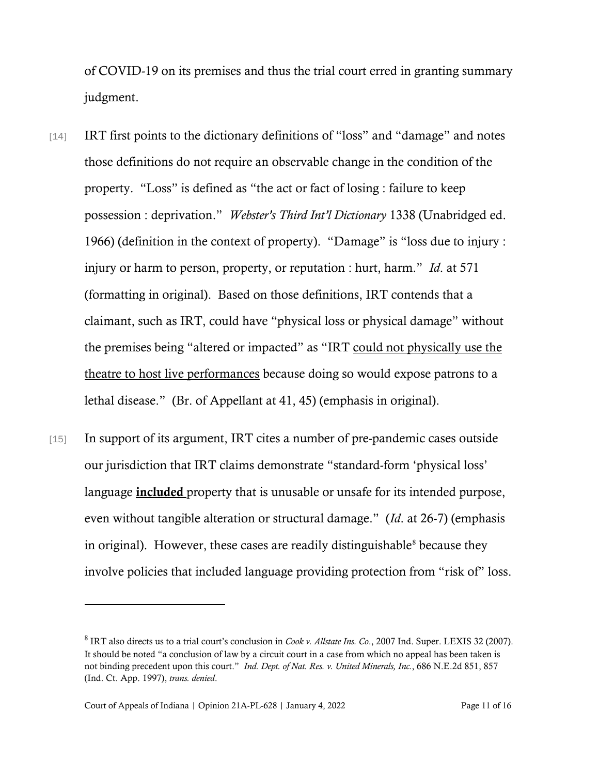of COVID-19 on its premises and thus the trial court erred in granting summary judgment.

- [14] IRT first points to the dictionary definitions of "loss" and "damage" and notes those definitions do not require an observable change in the condition of the property. "Loss" is defined as "the act or fact of losing : failure to keep possession : deprivation." *Webster's Third Int'l Dictionary* 1338 (Unabridged ed. 1966) (definition in the context of property). "Damage" is "loss due to injury : injury or harm to person, property, or reputation : hurt, harm." *Id*. at 571 (formatting in original). Based on those definitions, IRT contends that a claimant, such as IRT, could have "physical loss or physical damage" without the premises being "altered or impacted" as "IRT could not physically use the theatre to host live performances because doing so would expose patrons to a lethal disease." (Br. of Appellant at 41, 45) (emphasis in original).
- [15] In support of its argument, IRT cites a number of pre-pandemic cases outside our jurisdiction that IRT claims demonstrate "standard-form 'physical loss' language **included** property that is unusable or unsafe for its intended purpose, even without tangible alteration or structural damage." (*Id*. at 26-7) (emphasis in original). However, these cases are readily distinguishable<sup>[8](#page-10-0)</sup> because they involve policies that included language providing protection from "risk of" loss.

<span id="page-10-0"></span><sup>8</sup> IRT also directs us to a trial court's conclusion in *Cook v. Allstate Ins. Co*., 2007 Ind. Super. LEXIS 32 (2007). It should be noted "a conclusion of law by a circuit court in a case from which no appeal has been taken is not binding precedent upon this court." *Ind. Dept. of Nat. Res. v. United Minerals, Inc.*, 686 N.E.2d 851, 857 (Ind. Ct. App. 1997), *trans. denied*.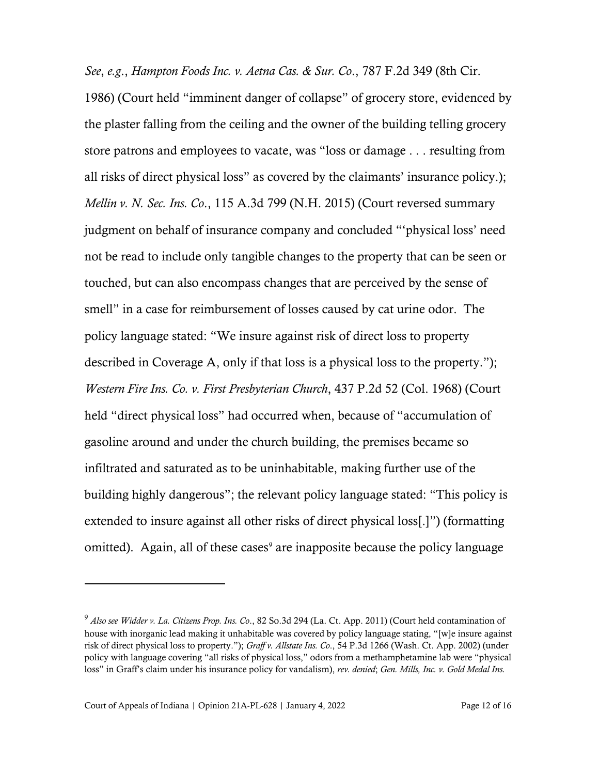*See*, *e.g*., *Hampton Foods Inc. v. Aetna Cas. & Sur. Co*., 787 F.2d 349 (8th Cir.

1986) (Court held "imminent danger of collapse" of grocery store, evidenced by the plaster falling from the ceiling and the owner of the building telling grocery store patrons and employees to vacate, was "loss or damage . . . resulting from all risks of direct physical loss" as covered by the claimants' insurance policy.); *Mellin v. N. Sec. Ins. Co*., 115 A.3d 799 (N.H. 2015) (Court reversed summary judgment on behalf of insurance company and concluded "'physical loss' need not be read to include only tangible changes to the property that can be seen or touched, but can also encompass changes that are perceived by the sense of smell" in a case for reimbursement of losses caused by cat urine odor. The policy language stated: "We insure against risk of direct loss to property described in Coverage A, only if that loss is a physical loss to the property."); *Western Fire Ins. Co. v. First Presbyterian Church*, 437 P.2d 52 (Col. 1968) (Court held "direct physical loss" had occurred when, because of "accumulation of gasoline around and under the church building, the premises became so infiltrated and saturated as to be uninhabitable, making further use of the building highly dangerous"; the relevant policy language stated: "This policy is extended to insure against all other risks of direct physical loss[.]") (formatting omitted). Again, all of these cases<sup>[9](#page-11-0)</sup> are inapposite because the policy language

<span id="page-11-0"></span><sup>9</sup> *Also see Widder v. La. Citizens Prop. Ins. Co*., 82 So.3d 294 (La. Ct. App. 2011) (Court held contamination of house with inorganic lead making it unhabitable was covered by policy language stating, "[w]e insure against risk of direct physical loss to property."); *Graff v. Allstate Ins. Co*., 54 P.3d 1266 (Wash. Ct. App. 2002) (under policy with language covering "all risks of physical loss," odors from a methamphetamine lab were "physical loss" in Graff's claim under his insurance policy for vandalism), *rev. denied*; *Gen. Mills, Inc. v. Gold Medal Ins.*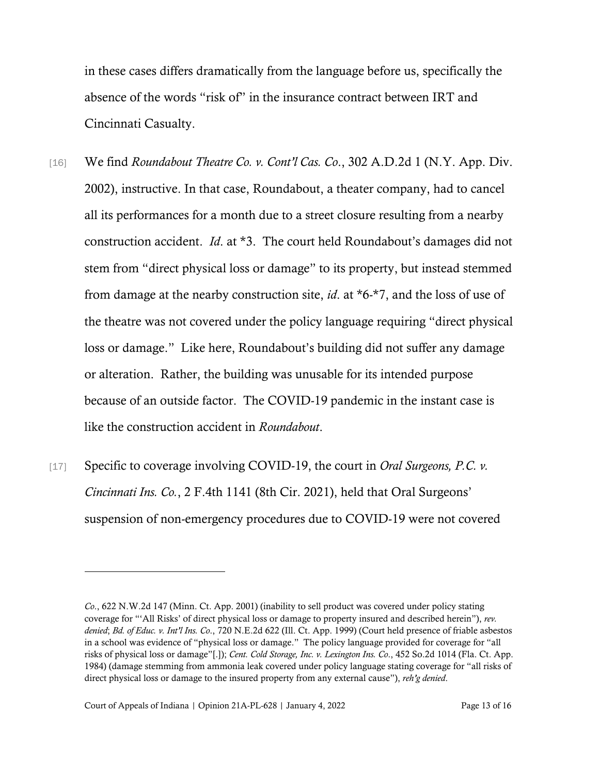in these cases differs dramatically from the language before us, specifically the absence of the words "risk of" in the insurance contract between IRT and Cincinnati Casualty.

- [16] We find *Roundabout Theatre Co. v. Cont'l Cas. Co.*, 302 A.D.2d 1 (N.Y. App. Div. 2002), instructive. In that case, Roundabout, a theater company, had to cancel all its performances for a month due to a street closure resulting from a nearby construction accident. *Id*. at \*3. The court held Roundabout's damages did not stem from "direct physical loss or damage" to its property, but instead stemmed from damage at the nearby construction site, *id*. at \*6-\*7, and the loss of use of the theatre was not covered under the policy language requiring "direct physical loss or damage." Like here, Roundabout's building did not suffer any damage or alteration. Rather, the building was unusable for its intended purpose because of an outside factor. The COVID-19 pandemic in the instant case is like the construction accident in *Roundabout*.
- [17] Specific to coverage involving COVID-19, the court in *Oral Surgeons, P.C. v. Cincinnati Ins. Co.*, 2 F.4th 1141 (8th Cir. 2021), held that Oral Surgeons' suspension of non-emergency procedures due to COVID-19 were not covered

*Co*., 622 N.W.2d 147 (Minn. Ct. App. 2001) (inability to sell product was covered under policy stating coverage for "'All Risks' of direct physical loss or damage to property insured and described herein"), *rev. denied*; *Bd. of Educ. v. Int'l Ins. Co*., 720 N.E.2d 622 (Ill. Ct. App. 1999) (Court held presence of friable asbestos in a school was evidence of "physical loss or damage." The policy language provided for coverage for "all risks of physical loss or damage"[.]); *Cent. Cold Storage, Inc. v. Lexington Ins. Co*., 452 So.2d 1014 (Fla. Ct. App. 1984) (damage stemming from ammonia leak covered under policy language stating coverage for "all risks of direct physical loss or damage to the insured property from any external cause"), *reh'g denied*.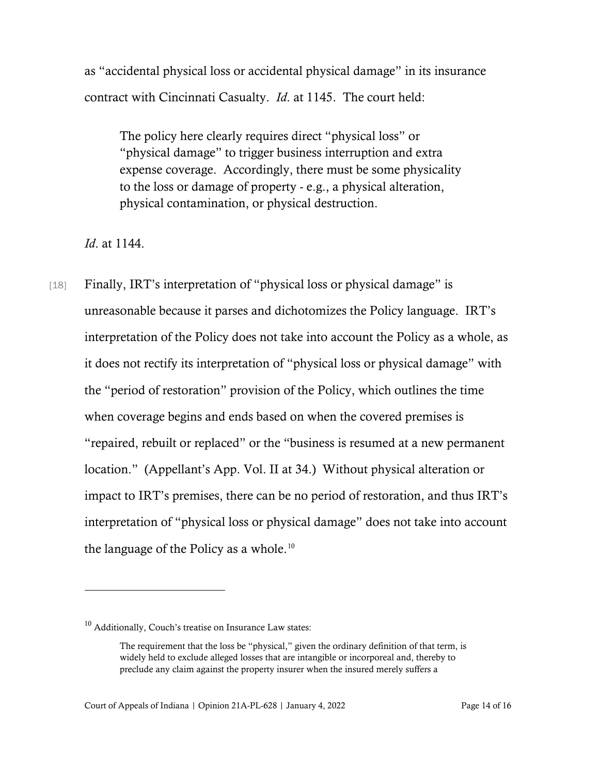as "accidental physical loss or accidental physical damage" in its insurance contract with Cincinnati Casualty. *Id*. at 1145. The court held:

The policy here clearly requires direct "physical loss" or "physical damage" to trigger business interruption and extra expense coverage. Accordingly, there must be some physicality to the loss or damage of property - e.g., a physical alteration, physical contamination, or physical destruction.

*Id*. at 1144.

[18] Finally, IRT's interpretation of "physical loss or physical damage" is unreasonable because it parses and dichotomizes the Policy language. IRT's interpretation of the Policy does not take into account the Policy as a whole, as it does not rectify its interpretation of "physical loss or physical damage" with the "period of restoration" provision of the Policy, which outlines the time when coverage begins and ends based on when the covered premises is "repaired, rebuilt or replaced" or the "business is resumed at a new permanent location." (Appellant's App. Vol. II at 34.) Without physical alteration or impact to IRT's premises, there can be no period of restoration, and thus IRT's interpretation of "physical loss or physical damage" does not take into account the language of the Policy as a whole.<sup>[10](#page-13-0)</sup>

<span id="page-13-0"></span><sup>&</sup>lt;sup>10</sup> Additionally, Couch's treatise on Insurance Law states:

The requirement that the loss be "physical," given the ordinary definition of that term, is widely held to exclude alleged losses that are intangible or incorporeal and, thereby to preclude any claim against the property insurer when the insured merely suffers a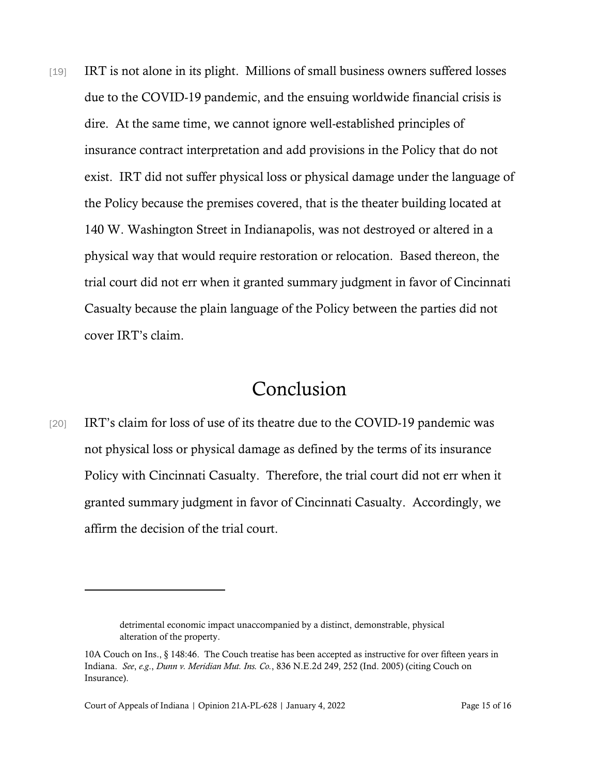[19] IRT is not alone in its plight. Millions of small business owners suffered losses due to the COVID-19 pandemic, and the ensuing worldwide financial crisis is dire. At the same time, we cannot ignore well-established principles of insurance contract interpretation and add provisions in the Policy that do not exist. IRT did not suffer physical loss or physical damage under the language of the Policy because the premises covered, that is the theater building located at 140 W. Washington Street in Indianapolis, was not destroyed or altered in a physical way that would require restoration or relocation. Based thereon, the trial court did not err when it granted summary judgment in favor of Cincinnati Casualty because the plain language of the Policy between the parties did not cover IRT's claim.

## Conclusion

[20] IRT's claim for loss of use of its theatre due to the COVID-19 pandemic was not physical loss or physical damage as defined by the terms of its insurance Policy with Cincinnati Casualty. Therefore, the trial court did not err when it granted summary judgment in favor of Cincinnati Casualty. Accordingly, we affirm the decision of the trial court.

detrimental economic impact unaccompanied by a distinct, demonstrable, physical alteration of the property.

<sup>10</sup>A Couch on Ins., § 148:46. The Couch treatise has been accepted as instructive for over fifteen years in Indiana. *See*, *e.g*., *Dunn v. Meridian Mut. Ins. Co.*, 836 N.E.2d 249, 252 (Ind. 2005) (citing Couch on Insurance).